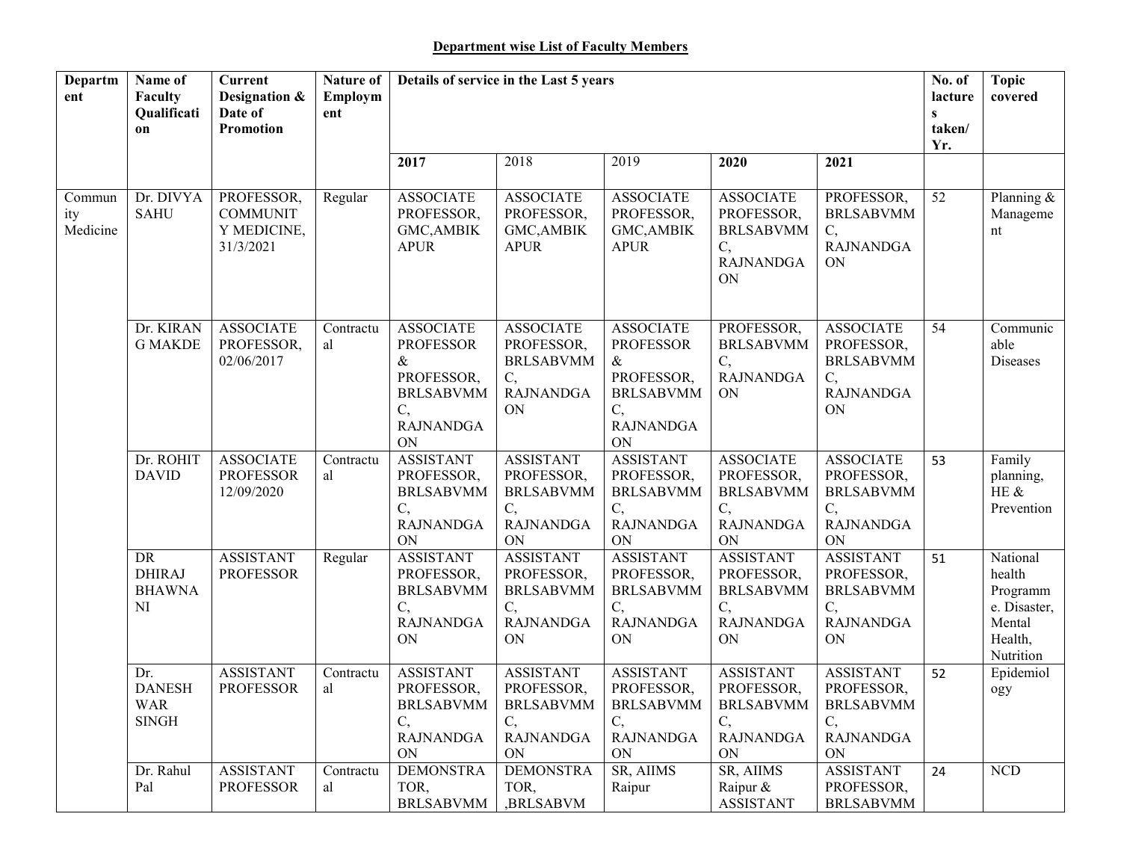| Departm<br>ent            | Name of<br>Faculty<br>Qualificati<br>on            | <b>Current</b><br>Designation &<br>Date of<br><b>Promotion</b> | Nature of<br>Employm<br>ent | Details of service in the Last 5 years                                                                         |                                                                                    |                                                                                                                |                                                                                           |                                                                                           | No. of<br>lacture<br>$\mathbf{s}$<br>taken/<br>Yr. | <b>Topic</b><br>covered                                                          |
|---------------------------|----------------------------------------------------|----------------------------------------------------------------|-----------------------------|----------------------------------------------------------------------------------------------------------------|------------------------------------------------------------------------------------|----------------------------------------------------------------------------------------------------------------|-------------------------------------------------------------------------------------------|-------------------------------------------------------------------------------------------|----------------------------------------------------|----------------------------------------------------------------------------------|
|                           |                                                    |                                                                |                             | 2017                                                                                                           | 2018                                                                               | 2019                                                                                                           | 2020                                                                                      | 2021                                                                                      |                                                    |                                                                                  |
| Commun<br>ity<br>Medicine | Dr. DIVYA<br><b>SAHU</b>                           | PROFESSOR,<br><b>COMMUNIT</b><br>Y MEDICINE,<br>31/3/2021      | Regular                     | <b>ASSOCIATE</b><br>PROFESSOR,<br>GMC, AMBIK<br><b>APUR</b>                                                    | <b>ASSOCIATE</b><br>PROFESSOR,<br><b>GMC, AMBIK</b><br><b>APUR</b>                 | <b>ASSOCIATE</b><br>PROFESSOR,<br><b>GMC, AMBIK</b><br><b>APUR</b>                                             | <b>ASSOCIATE</b><br>PROFESSOR,<br><b>BRLSABVMM</b><br>C,<br><b>RAJNANDGA</b><br>ON        | PROFESSOR,<br><b>BRLSABVMM</b><br>C,<br><b>RAJNANDGA</b><br><b>ON</b>                     | 52                                                 | Planning &<br>Manageme<br>nt                                                     |
|                           | Dr. KIRAN<br><b>G MAKDE</b>                        | <b>ASSOCIATE</b><br>PROFESSOR,<br>02/06/2017                   | Contractu<br>al             | <b>ASSOCIATE</b><br><b>PROFESSOR</b><br>$\&$<br>PROFESSOR,<br><b>BRLSABVMM</b><br>C,<br><b>RAJNANDGA</b><br>ON | <b>ASSOCIATE</b><br>PROFESSOR,<br><b>BRLSABVMM</b><br>C,<br><b>RAJNANDGA</b><br>ON | <b>ASSOCIATE</b><br><b>PROFESSOR</b><br>$\&$<br>PROFESSOR,<br><b>BRLSABVMM</b><br>C,<br><b>RAJNANDGA</b><br>ON | PROFESSOR,<br><b>BRLSABVMM</b><br>C,<br><b>RAJNANDGA</b><br><b>ON</b>                     | <b>ASSOCIATE</b><br>PROFESSOR,<br><b>BRLSABVMM</b><br>C,<br><b>RAJNANDGA</b><br><b>ON</b> | 54                                                 | Communic<br>able<br>Diseases                                                     |
|                           | Dr. ROHIT<br><b>DAVID</b>                          | <b>ASSOCIATE</b><br><b>PROFESSOR</b><br>12/09/2020             | Contractu<br>al             | <b>ASSISTANT</b><br>PROFESSOR,<br><b>BRLSABVMM</b><br>C,<br><b>RAJNANDGA</b><br>ON                             | <b>ASSISTANT</b><br>PROFESSOR,<br><b>BRLSABVMM</b><br>C,<br><b>RAJNANDGA</b><br>ON | <b>ASSISTANT</b><br>PROFESSOR,<br><b>BRLSABVMM</b><br>C,<br><b>RAJNANDGA</b><br>ON                             | <b>ASSOCIATE</b><br>PROFESSOR,<br><b>BRLSABVMM</b><br>C,<br><b>RAJNANDGA</b><br>ON        | <b>ASSOCIATE</b><br>PROFESSOR,<br><b>BRLSABVMM</b><br>C,<br><b>RAJNANDGA</b><br>ON        | 53                                                 | Family<br>planning,<br>HE &<br>Prevention                                        |
|                           | DR<br><b>DHIRAJ</b><br><b>BHAWNA</b><br>NI         | <b>ASSISTANT</b><br><b>PROFESSOR</b>                           | Regular                     | <b>ASSISTANT</b><br>PROFESSOR,<br><b>BRLSABVMM</b><br>C,<br><b>RAJNANDGA</b><br>ON                             | <b>ASSISTANT</b><br>PROFESSOR,<br><b>BRLSABVMM</b><br>C,<br><b>RAJNANDGA</b><br>ON | <b>ASSISTANT</b><br>PROFESSOR,<br><b>BRLSABVMM</b><br>C,<br><b>RAJNANDGA</b><br>ON                             | <b>ASSISTANT</b><br>PROFESSOR,<br><b>BRLSABVMM</b><br>C,<br><b>RAJNANDGA</b><br>ON        | <b>ASSISTANT</b><br>PROFESSOR,<br><b>BRLSABVMM</b><br>C,<br><b>RAJNANDGA</b><br>ON        | 51                                                 | National<br>health<br>Programm<br>e. Disaster,<br>Mental<br>Health,<br>Nutrition |
|                           | Dr.<br><b>DANESH</b><br><b>WAR</b><br><b>SINGH</b> | <b>ASSISTANT</b><br><b>PROFESSOR</b>                           | Contractu<br>al             | <b>ASSISTANT</b><br>PROFESSOR,<br><b>BRLSABVMM</b><br>$\mathcal{C},$<br><b>RAJNANDGA</b><br>ON                 | <b>ASSISTANT</b><br>PROFESSOR,<br><b>BRLSABVMM</b><br>C,<br><b>RAJNANDGA</b><br>ON | <b>ASSISTANT</b><br>PROFESSOR,<br><b>BRLSABVMM</b><br>C,<br><b>RAJNANDGA</b><br>ON                             | <b>ASSISTANT</b><br>PROFESSOR,<br><b>BRLSABVMM</b><br>C,<br><b>RAJNANDGA</b><br><b>ON</b> | <b>ASSISTANT</b><br>PROFESSOR,<br><b>BRLSABVMM</b><br>C,<br><b>RAJNANDGA</b><br><b>ON</b> | 52                                                 | Epidemiol<br>ogy                                                                 |
|                           | Dr. Rahul<br>Pal                                   | <b>ASSISTANT</b><br><b>PROFESSOR</b>                           | Contractu<br>al             | <b>DEMONSTRA</b><br>TOR,<br><b>BRLSABVMM</b>                                                                   | <b>DEMONSTRA</b><br>TOR,<br>,BRLSABVM                                              | SR, AIIMS<br>Raipur                                                                                            | SR, AIIMS<br>Raipur &<br><b>ASSISTANT</b>                                                 | <b>ASSISTANT</b><br>PROFESSOR,<br><b>BRLSABVMM</b>                                        | 24                                                 | <b>NCD</b>                                                                       |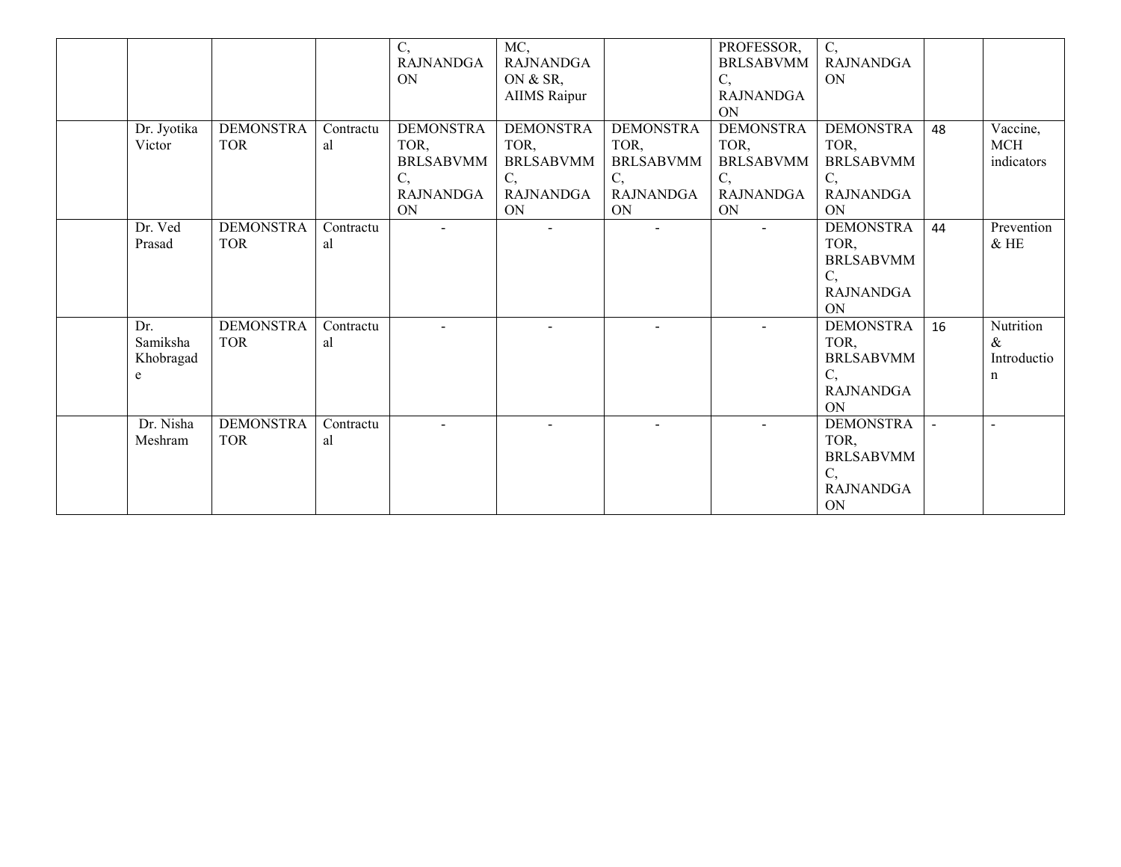|                                             |                                |                 | $\overline{C}$<br><b>RAJNANDGA</b><br><b>ON</b>                                     | MC,<br><b>RAJNANDGA</b><br>ON & SR,<br><b>AIIMS</b> Raipur                          |                                                                              | PROFESSOR,<br><b>BRLSABVMM</b><br>C,<br><b>RAJNANDGA</b><br>ON                      | $\overline{C}$ ,<br><b>RAJNANDGA</b><br>ON                                   |    |                                                 |
|---------------------------------------------|--------------------------------|-----------------|-------------------------------------------------------------------------------------|-------------------------------------------------------------------------------------|------------------------------------------------------------------------------|-------------------------------------------------------------------------------------|------------------------------------------------------------------------------|----|-------------------------------------------------|
| Dr. Jyotika<br>Victor                       | <b>DEMONSTRA</b><br><b>TOR</b> | Contractu<br>al | <b>DEMONSTRA</b><br>TOR,<br><b>BRLSABVMM</b><br>C,<br><b>RAJNANDGA</b><br><b>ON</b> | <b>DEMONSTRA</b><br>TOR,<br><b>BRLSABVMM</b><br>C,<br><b>RAJNANDGA</b><br><b>ON</b> | <b>DEMONSTRA</b><br>TOR,<br><b>BRLSABVMM</b><br>C,<br><b>RAJNANDGA</b><br>ON | <b>DEMONSTRA</b><br>TOR,<br><b>BRLSABVMM</b><br>C,<br><b>RAJNANDGA</b><br><b>ON</b> | <b>DEMONSTRA</b><br>TOR,<br><b>BRLSABVMM</b><br>C,<br><b>RAJNANDGA</b><br>ON | 48 | Vaccine,<br>MCH<br>indicators                   |
| Dr. Ved<br>Prasad                           | <b>DEMONSTRA</b><br><b>TOR</b> | Contractu<br>al | $\sim$                                                                              | $\blacksquare$                                                                      | $\blacksquare$                                                               | $\mathbf{u}$                                                                        | <b>DEMONSTRA</b><br>TOR,<br><b>BRLSABVMM</b><br>C,<br><b>RAJNANDGA</b><br>ON | 44 | Prevention<br>$&$ HE                            |
| Dr.<br>Samiksha<br>Khobragad<br>$\mathbf e$ | <b>DEMONSTRA</b><br><b>TOR</b> | Contractu<br>al |                                                                                     |                                                                                     |                                                                              | $\blacksquare$                                                                      | <b>DEMONSTRA</b><br>TOR,<br><b>BRLSABVMM</b><br>C,<br><b>RAJNANDGA</b><br>ON | 16 | Nutrition<br>$\&$<br>Introductio<br>$\mathbf n$ |
| Dr. Nisha<br>Meshram                        | <b>DEMONSTRA</b><br><b>TOR</b> | Contractu<br>al |                                                                                     |                                                                                     |                                                                              |                                                                                     | <b>DEMONSTRA</b><br>TOR.<br><b>BRLSABVMM</b><br>C,<br><b>RAJNANDGA</b><br>ON |    | $\sim$                                          |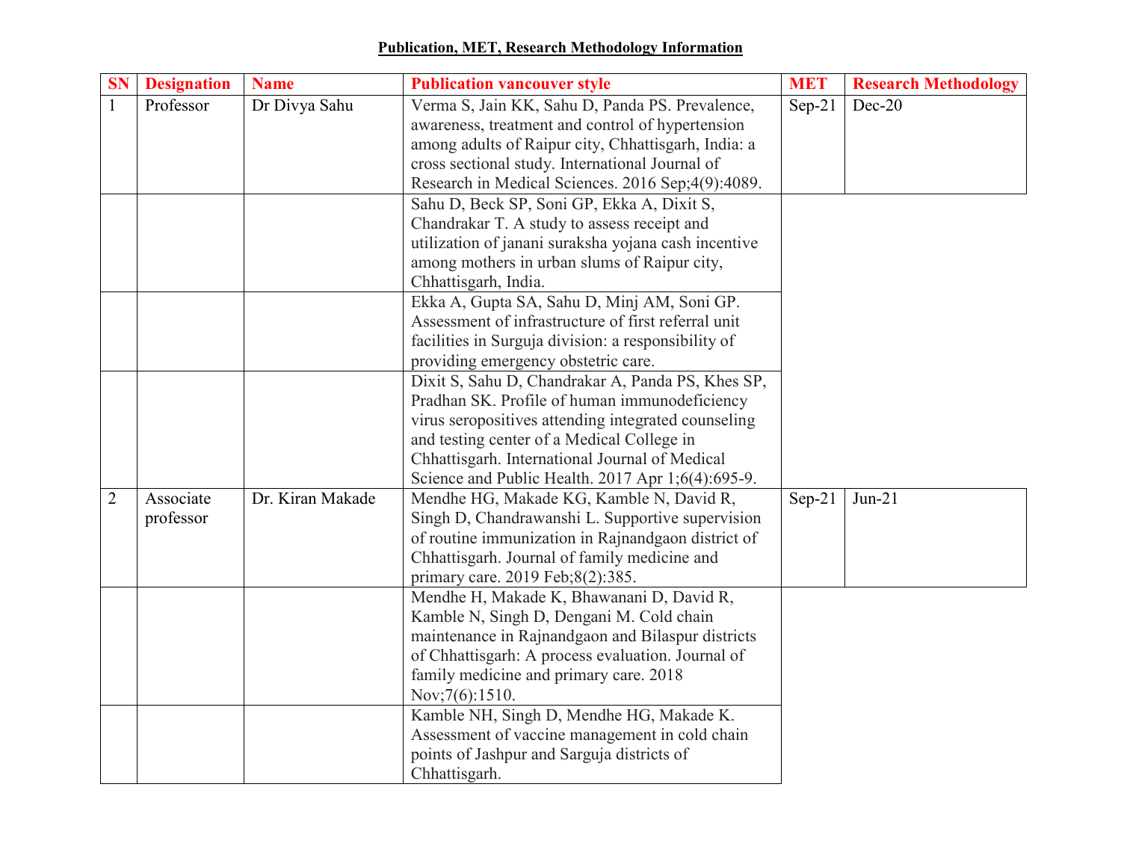## **Publication, MET, Research Methodology Information**

| <b>SN</b>      | <b>Designation</b> | <b>Name</b>      | <b>MET</b><br><b>Publication vancouver style</b>     |          | <b>Research Methodology</b> |
|----------------|--------------------|------------------|------------------------------------------------------|----------|-----------------------------|
| $\mathbf{1}$   | Professor          | Dr Divya Sahu    | Verma S, Jain KK, Sahu D, Panda PS. Prevalence,      | $Sep-21$ | Dec- $20$                   |
|                |                    |                  | awareness, treatment and control of hypertension     |          |                             |
|                |                    |                  | among adults of Raipur city, Chhattisgarh, India: a  |          |                             |
|                |                    |                  | cross sectional study. International Journal of      |          |                             |
|                |                    |                  | Research in Medical Sciences. 2016 Sep;4(9):4089.    |          |                             |
|                |                    |                  | Sahu D, Beck SP, Soni GP, Ekka A, Dixit S,           |          |                             |
|                |                    |                  | Chandrakar T. A study to assess receipt and          |          |                             |
|                |                    |                  | utilization of janani suraksha yojana cash incentive |          |                             |
|                |                    |                  | among mothers in urban slums of Raipur city,         |          |                             |
|                |                    |                  | Chhattisgarh, India.                                 |          |                             |
|                |                    |                  | Ekka A, Gupta SA, Sahu D, Minj AM, Soni GP.          |          |                             |
|                |                    |                  | Assessment of infrastructure of first referral unit  |          |                             |
|                |                    |                  | facilities in Surguja division: a responsibility of  |          |                             |
|                |                    |                  | providing emergency obstetric care.                  |          |                             |
|                |                    |                  | Dixit S, Sahu D, Chandrakar A, Panda PS, Khes SP,    |          |                             |
|                |                    |                  | Pradhan SK. Profile of human immunodeficiency        |          |                             |
|                |                    |                  | virus seropositives attending integrated counseling  |          |                             |
|                |                    |                  | and testing center of a Medical College in           |          |                             |
|                |                    |                  | Chhattisgarh. International Journal of Medical       |          |                             |
|                |                    |                  | Science and Public Health. 2017 Apr 1;6(4):695-9.    |          |                             |
| $\overline{2}$ | Associate          | Dr. Kiran Makade | Mendhe HG, Makade KG, Kamble N, David R,             | $Sep-21$ | $Jun-21$                    |
|                | professor          |                  | Singh D, Chandrawanshi L. Supportive supervision     |          |                             |
|                |                    |                  | of routine immunization in Rajnandgaon district of   |          |                             |
|                |                    |                  | Chhattisgarh. Journal of family medicine and         |          |                             |
|                |                    |                  | primary care. 2019 Feb;8(2):385.                     |          |                             |
|                |                    |                  | Mendhe H, Makade K, Bhawanani D, David R,            |          |                             |
|                |                    |                  | Kamble N, Singh D, Dengani M. Cold chain             |          |                             |
|                |                    |                  | maintenance in Rajnandgaon and Bilaspur districts    |          |                             |
|                |                    |                  | of Chhattisgarh: A process evaluation. Journal of    |          |                             |
|                |                    |                  | family medicine and primary care. 2018               |          |                             |
|                |                    |                  | Nov;7(6):1510.                                       |          |                             |
|                |                    |                  | Kamble NH, Singh D, Mendhe HG, Makade K.             |          |                             |
|                |                    |                  | Assessment of vaccine management in cold chain       |          |                             |
|                |                    |                  | points of Jashpur and Sarguja districts of           |          |                             |
|                |                    |                  | Chhattisgarh.                                        |          |                             |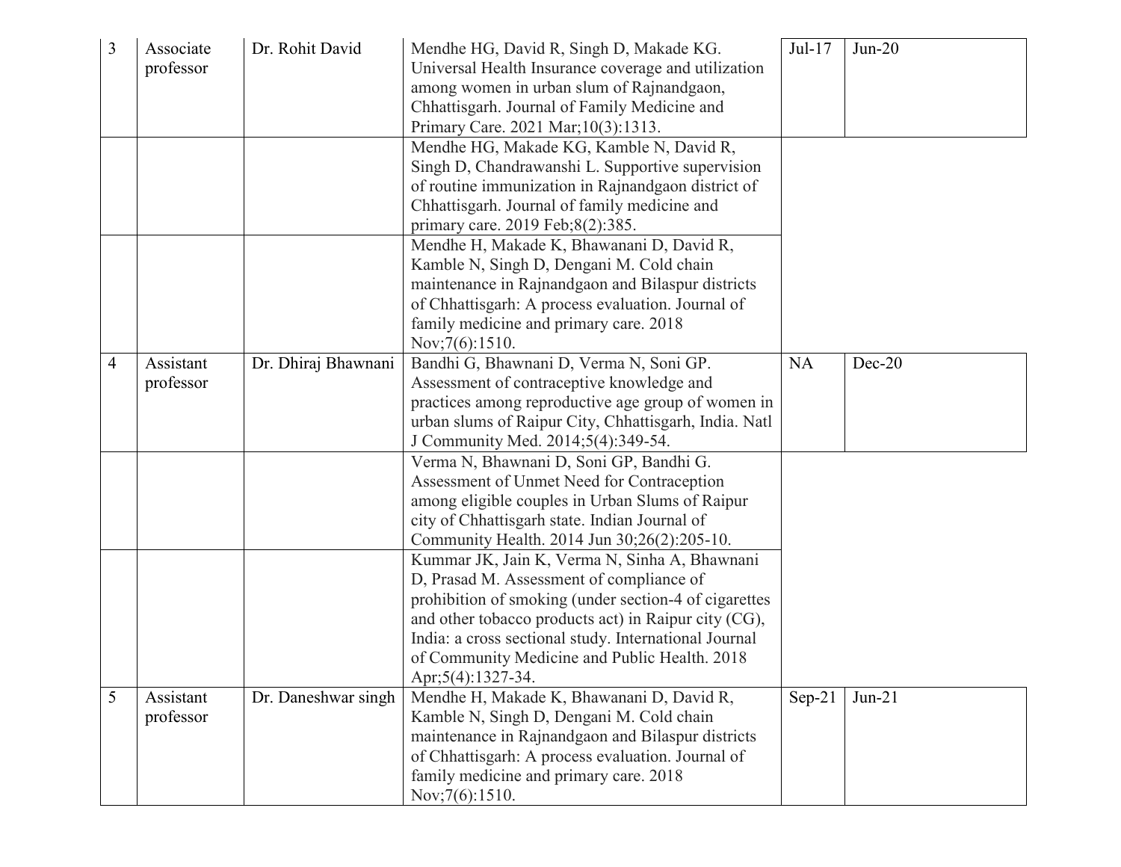| 3 | Associate | Dr. Rohit David     | Mendhe HG, David R, Singh D, Makade KG.               | Jul-17    | $Jun-20$ |
|---|-----------|---------------------|-------------------------------------------------------|-----------|----------|
|   | professor |                     | Universal Health Insurance coverage and utilization   |           |          |
|   |           |                     | among women in urban slum of Rajnandgaon,             |           |          |
|   |           |                     | Chhattisgarh. Journal of Family Medicine and          |           |          |
|   |           |                     | Primary Care. 2021 Mar; 10(3): 1313.                  |           |          |
|   |           |                     | Mendhe HG, Makade KG, Kamble N, David R,              |           |          |
|   |           |                     | Singh D, Chandrawanshi L. Supportive supervision      |           |          |
|   |           |                     | of routine immunization in Rajnandgaon district of    |           |          |
|   |           |                     | Chhattisgarh. Journal of family medicine and          |           |          |
|   |           |                     | primary care. 2019 Feb;8(2):385.                      |           |          |
|   |           |                     | Mendhe H, Makade K, Bhawanani D, David R,             |           |          |
|   |           |                     | Kamble N, Singh D, Dengani M. Cold chain              |           |          |
|   |           |                     | maintenance in Rajnandgaon and Bilaspur districts     |           |          |
|   |           |                     | of Chhattisgarh: A process evaluation. Journal of     |           |          |
|   |           |                     | family medicine and primary care. 2018                |           |          |
|   |           |                     | Nov;7(6):1510.                                        |           |          |
| 4 | Assistant | Dr. Dhiraj Bhawnani | Bandhi G, Bhawnani D, Verma N, Soni GP.               | <b>NA</b> | $Dec-20$ |
|   | professor |                     | Assessment of contraceptive knowledge and             |           |          |
|   |           |                     | practices among reproductive age group of women in    |           |          |
|   |           |                     | urban slums of Raipur City, Chhattisgarh, India. Natl |           |          |
|   |           |                     | J Community Med. 2014;5(4):349-54.                    |           |          |
|   |           |                     | Verma N, Bhawnani D, Soni GP, Bandhi G.               |           |          |
|   |           |                     | Assessment of Unmet Need for Contraception            |           |          |
|   |           |                     | among eligible couples in Urban Slums of Raipur       |           |          |
|   |           |                     | city of Chhattisgarh state. Indian Journal of         |           |          |
|   |           |                     | Community Health. 2014 Jun 30;26(2):205-10.           |           |          |
|   |           |                     | Kummar JK, Jain K, Verma N, Sinha A, Bhawnani         |           |          |
|   |           |                     | D, Prasad M. Assessment of compliance of              |           |          |
|   |           |                     | prohibition of smoking (under section-4 of cigarettes |           |          |
|   |           |                     | and other tobacco products act) in Raipur city (CG),  |           |          |
|   |           |                     | India: a cross sectional study. International Journal |           |          |
|   |           |                     | of Community Medicine and Public Health. 2018         |           |          |
|   |           |                     | Apr;5(4):1327-34.                                     |           |          |
| 5 | Assistant | Dr. Daneshwar singh | Mendhe H, Makade K, Bhawanani D, David R,             | $Sep-21$  | $Jun-21$ |
|   | professor |                     | Kamble N, Singh D, Dengani M. Cold chain              |           |          |
|   |           |                     | maintenance in Rajnandgaon and Bilaspur districts     |           |          |
|   |           |                     | of Chhattisgarh: A process evaluation. Journal of     |           |          |
|   |           |                     | family medicine and primary care. 2018                |           |          |
|   |           |                     | Nov; 7(6): 1510.                                      |           |          |